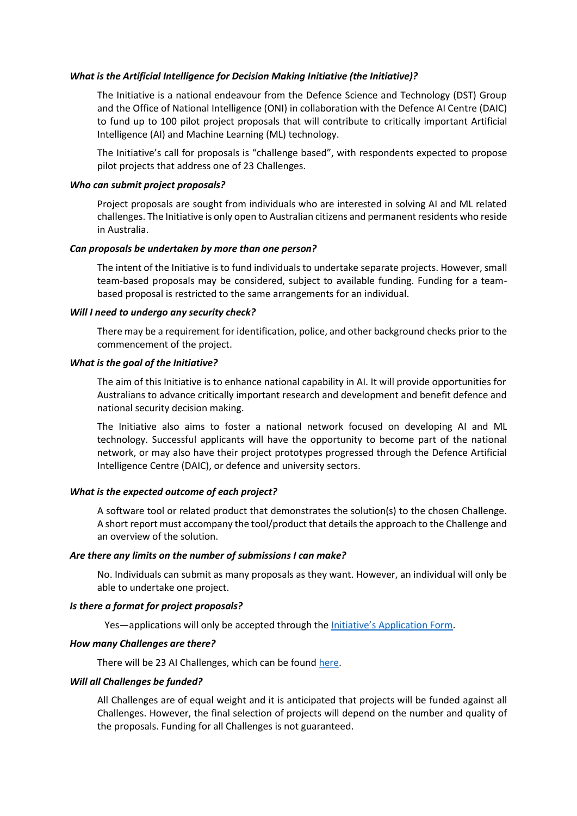# *What is the Artificial Intelligence for Decision Making Initiative (the Initiative)?*

The Initiative is a national endeavour from the Defence Science and Technology (DST) Group and the Office of National Intelligence (ONI) in collaboration with the Defence AI Centre (DAIC) to fund up to 100 pilot project proposals that will contribute to critically important Artificial Intelligence (AI) and Machine Learning (ML) technology.

The Initiative's call for proposals is "challenge based", with respondents expected to propose pilot projects that address one of 23 Challenges.

#### *Who can submit project proposals?*

Project proposals are sought from individuals who are interested in solving AI and ML related challenges. The Initiative is only open to Australian citizens and permanent residents who reside in Australia.

#### *Can proposals be undertaken by more than one person?*

The intent of the Initiative is to fund individuals to undertake separate projects. However, small team-based proposals may be considered, subject to available funding. Funding for a teambased proposal is restricted to the same arrangements for an individual.

#### *Will I need to undergo any security check?*

There may be a requirement for identification, police, and other background checks prior to the commencement of the project.

### *What is the goal of the Initiative?*

The aim of this Initiative is to enhance national capability in AI. It will provide opportunities for Australians to advance critically important research and development and benefit defence and national security decision making.

The Initiative also aims to foster a national network focused on developing AI and ML technology. Successful applicants will have the opportunity to become part of the national network, or may also have their project prototypes progressed through the Defence Artificial Intelligence Centre (DAIC), or defence and university sectors.

### *What is the expected outcome of each project?*

A software tool or related product that demonstrates the solution(s) to the chosen Challenge. A short report must accompany the tool/product that details the approach to the Challenge and an overview of the solution.

# *Are there any limits on the number of submissions I can make?*

No. Individuals can submit as many proposals as they want. However, an individual will only be able to undertake one project.

### *Is there a format for project proposals?*

Yes—applications will only be accepted through the [Initiative's Application Form](https://www.tfaforms.com/4826160).

# *How many Challenges are there?*

There will be 23 AI Challenges, which can be found [here.](https://www.jtsi.wa.gov.au/economic-development/defence-west/defence-science-centre/research-funding/artificial-intelligence-for-decision-making-initiative/Action/Preview)

#### *Will all Challenges be funded?*

All Challenges are of equal weight and it is anticipated that projects will be funded against all Challenges. However, the final selection of projects will depend on the number and quality of the proposals. Funding for all Challenges is not guaranteed.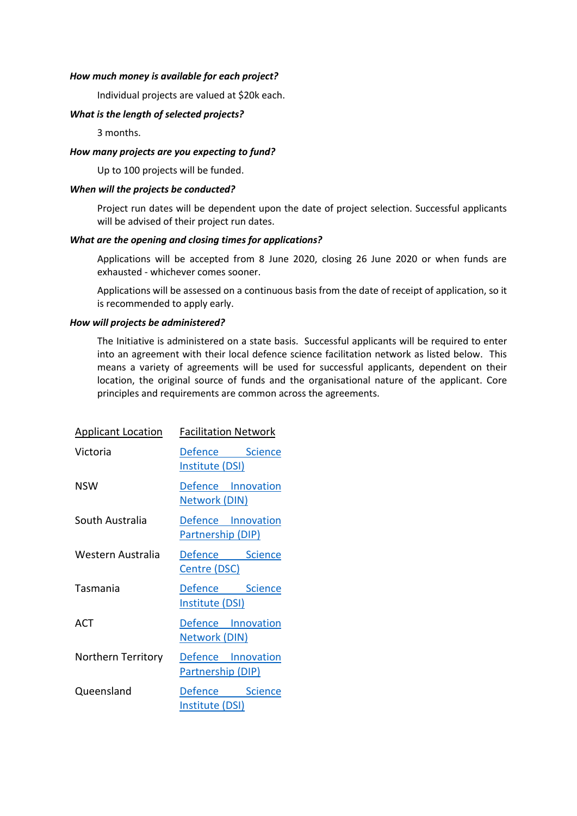# *How much money is available for each project?*

Individual projects are valued at \$20k each.

# *What is the length of selected projects?*

3 months.

# *How many projects are you expecting to fund?*

Up to 100 projects will be funded.

# *When will the projects be conducted?*

Project run dates will be dependent upon the date of project selection. Successful applicants will be advised of their project run dates.

# *What are the opening and closing times for applications?*

Applications will be accepted from 8 June 2020, closing 26 June 2020 or when funds are exhausted - whichever comes sooner.

Applications will be assessed on a continuous basis from the date of receipt of application, so it is recommended to apply early.

# *How will projects be administered?*

The Initiative is administered on a state basis. Successful applicants will be required to enter into an agreement with their local defence science facilitation network as listed below. This means a variety of agreements will be used for successful applicants, dependent on their location, the original source of funds and the organisational nature of the applicant. Core principles and requirements are common across the agreements.

| <b>Applicant Location</b> | <b>Facilitation Network</b>                |
|---------------------------|--------------------------------------------|
| Victoria                  | Defence Science<br>Institute (DSI)         |
| NSW                       | Defence Innovation<br>Network (DIN)        |
| South Australia           | Defence Innovation<br>Partnership (DIP)    |
| Western Australia         | Defence Science<br>Centre (DSC)            |
| Tasmania                  | Defence Science<br>Institute (DSI)         |
| ACT                       | Defence Innovation<br><b>Network (DIN)</b> |
| Northern Territory        | Defence Innovation<br>Partnership (DIP)    |
| Queensland                | Defence Science<br>Institute (DSI)         |